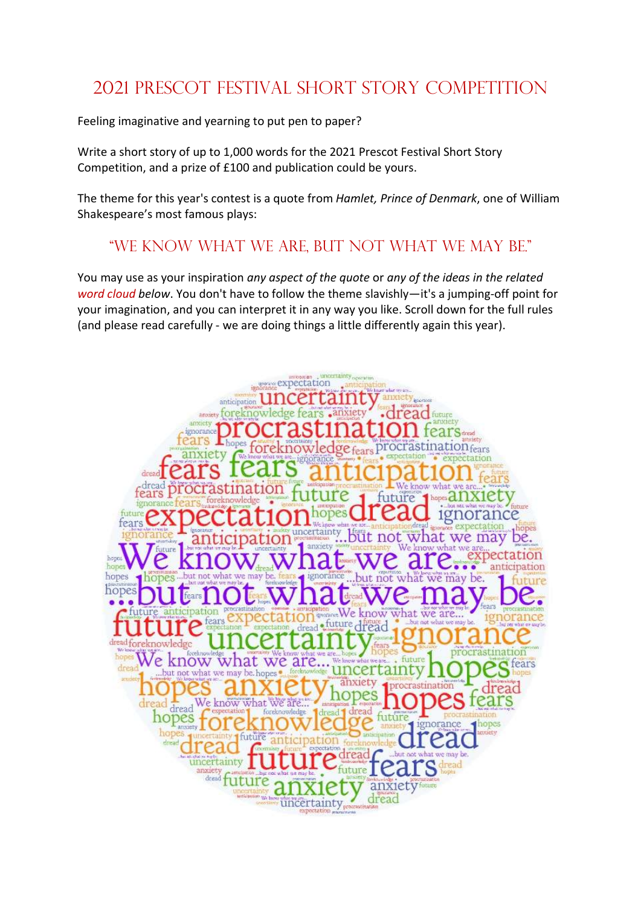## 2021 Prescot Festival Short Story Competition

Feeling imaginative and yearning to put pen to paper?

Write a short story of up to 1,000 words for the 2021 Prescot Festival Short Story Competition, and a prize of £100 and publication could be yours.

The theme for this year's contest is a quote from Hamlet, Prince of Denmark, one of William Shakespeare's most famous plays:

## "We know what we are, but not what we may be."

You may use as your inspiration *any aspect of the quote or any of the ideas in the related* word cloud below. You don't have to follow the theme slavishly—it's a jumping-off point for your imagination, and you can interpret it in any way you like. Scroll down for the full rules (and please read carefully - we are doing things a little differently again this year).